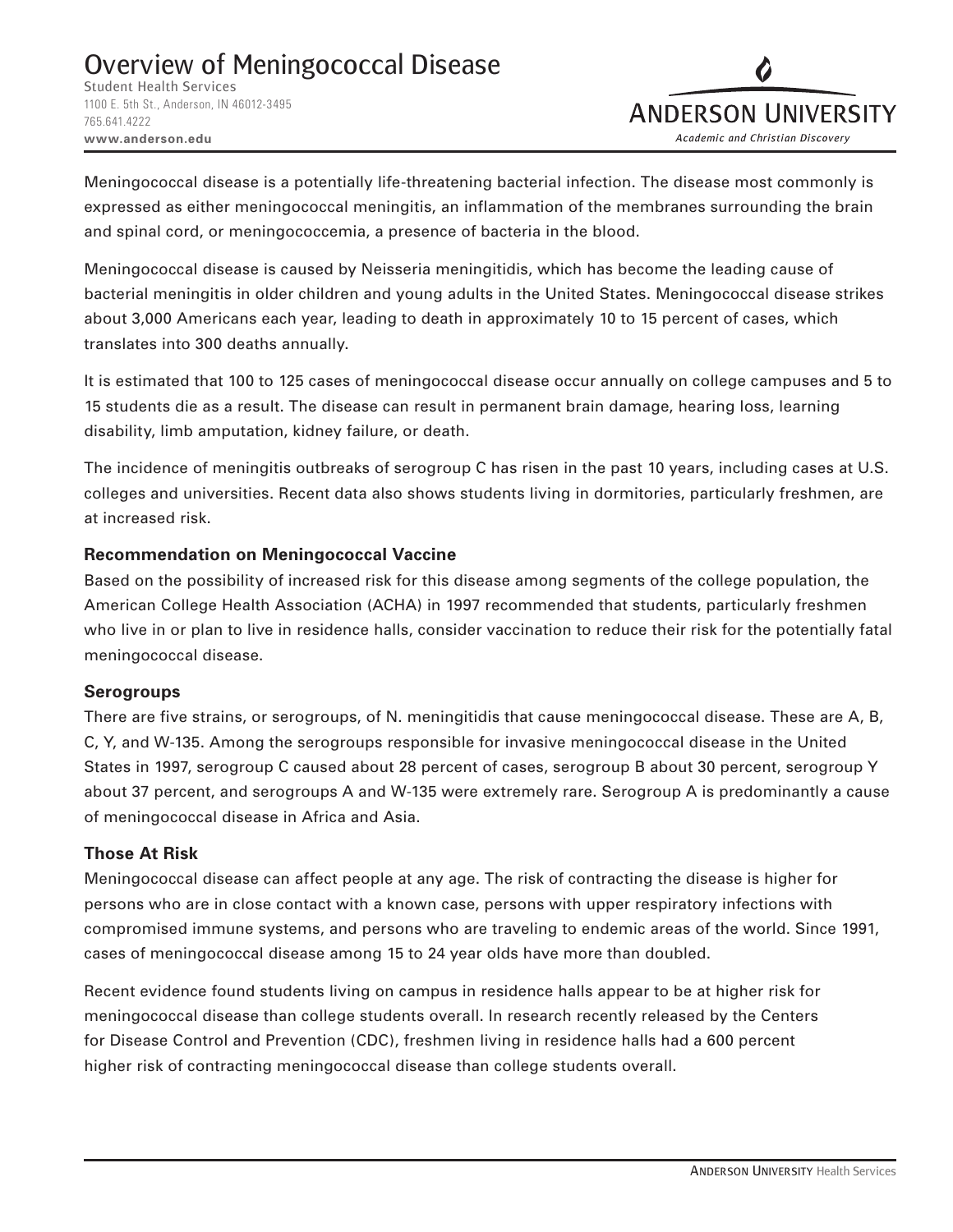1100 E. 5th St., Anderson, IN 46012-3495 765.641.4222 **www.anderson.edu**



Meningococcal disease is a potentially life-threatening bacterial infection. The disease most commonly is expressed as either meningococcal meningitis, an inflammation of the membranes surrounding the brain and spinal cord, or meningococcemia, a presence of bacteria in the blood.

Meningococcal disease is caused by Neisseria meningitidis, which has become the leading cause of bacterial meningitis in older children and young adults in the United States. Meningococcal disease strikes about 3,000 Americans each year, leading to death in approximately 10 to 15 percent of cases, which translates into 300 deaths annually.

It is estimated that 100 to 125 cases of meningococcal disease occur annually on college campuses and 5 to 15 students die as a result. The disease can result in permanent brain damage, hearing loss, learning disability, limb amputation, kidney failure, or death.

The incidence of meningitis outbreaks of serogroup C has risen in the past 10 years, including cases at U.S. colleges and universities. Recent data also shows students living in dormitories, particularly freshmen, are at increased risk.

# **Recommendation on Meningococcal Vaccine**

Based on the possibility of increased risk for this disease among segments of the college population, the American College Health Association (ACHA) in 1997 recommended that students, particularly freshmen who live in or plan to live in residence halls, consider vaccination to reduce their risk for the potentially fatal meningococcal disease.

### **Serogroups**

There are five strains, or serogroups, of N. meningitidis that cause meningococcal disease. These are A, B, C, Y, and W-135. Among the serogroups responsible for invasive meningococcal disease in the United States in 1997, serogroup C caused about 28 percent of cases, serogroup B about 30 percent, serogroup Y about 37 percent, and serogroups A and W-135 were extremely rare. Serogroup A is predominantly a cause of meningococcal disease in Africa and Asia.

# **Those At Risk**

Meningococcal disease can affect people at any age. The risk of contracting the disease is higher for persons who are in close contact with a known case, persons with upper respiratory infections with compromised immune systems, and persons who are traveling to endemic areas of the world. Since 1991, cases of meningococcal disease among 15 to 24 year olds have more than doubled.

Recent evidence found students living on campus in residence halls appear to be at higher risk for meningococcal disease than college students overall. In research recently released by the Centers for Disease Control and Prevention (CDC), freshmen living in residence halls had a 600 percent higher risk of contracting meningococcal disease than college students overall.